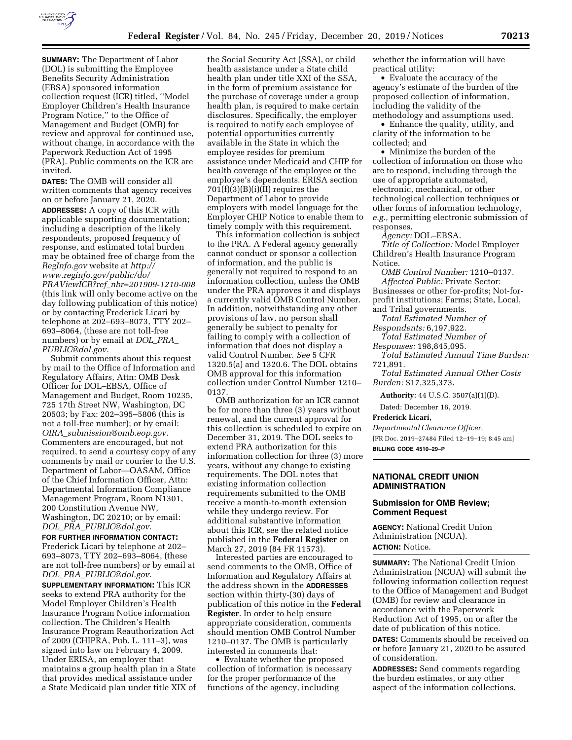

**SUMMARY:** The Department of Labor (DOL) is submitting the Employee Benefits Security Administration (EBSA) sponsored information collection request (ICR) titled, ''Model Employer Children's Health Insurance Program Notice,'' to the Office of Management and Budget (OMB) for review and approval for continued use, without change, in accordance with the Paperwork Reduction Act of 1995 (PRA). Public comments on the ICR are invited.

**DATES:** The OMB will consider all written comments that agency receives on or before January 21, 2020. **ADDRESSES:** A copy of this ICR with applicable supporting documentation; including a description of the likely respondents, proposed frequency of response, and estimated total burden may be obtained free of charge from the *RegInfo.gov* website at *[http://](http://www.reginfo.gov/public/do/PRAViewICR?ref_nbr=201909-1210-008) [www.reginfo.gov/public/do/](http://www.reginfo.gov/public/do/PRAViewICR?ref_nbr=201909-1210-008)  PRAViewICR?ref*\_*[nbr=201909-1210-008](http://www.reginfo.gov/public/do/PRAViewICR?ref_nbr=201909-1210-008)*  (this link will only become active on the day following publication of this notice) or by contacting Frederick Licari by telephone at 202–693–8073, TTY 202– 693–8064, (these are not toll-free numbers) or by email at *[DOL](mailto:DOL_PRA_PUBLIC@dol.gov)*\_*PRA*\_ *[PUBLIC@dol.gov.](mailto:DOL_PRA_PUBLIC@dol.gov)* 

Submit comments about this request by mail to the Office of Information and Regulatory Affairs, Attn: OMB Desk Officer for DOL–EBSA, Office of Management and Budget, Room 10235, 725 17th Street NW, Washington, DC 20503; by Fax: 202–395–5806 (this is not a toll-free number); or by email: *OIRA*\_*[submission@omb.eop.gov.](mailto:OIRA_submission@omb.eop.gov)*  Commenters are encouraged, but not required, to send a courtesy copy of any comments by mail or courier to the U.S. Department of Labor—OASAM, Office of the Chief Information Officer, Attn: Departmental Information Compliance Management Program, Room N1301, 200 Constitution Avenue NW, Washington, DC 20210; or by email: *DOL*\_*PRA*\_*[PUBLIC@dol.gov.](mailto:DOL_PRA_PUBLIC@dol.gov)* 

# **FOR FURTHER INFORMATION CONTACT:**

Frederick Licari by telephone at 202– 693–8073, TTY 202–693–8064, (these are not toll-free numbers) or by email at *DOL*\_*PRA*\_*[PUBLIC@dol.gov.](mailto:DOL_PRA_PUBLIC@dol.gov)* 

**SUPPLEMENTARY INFORMATION:** This ICR seeks to extend PRA authority for the Model Employer Children's Health Insurance Program Notice information collection. The Children's Health Insurance Program Reauthorization Act of 2009 (CHIPRA, Pub. L. 111–3), was signed into law on February 4, 2009. Under ERISA, an employer that maintains a group health plan in a State that provides medical assistance under a State Medicaid plan under title XIX of the Social Security Act (SSA), or child health assistance under a State child health plan under title XXI of the SSA, in the form of premium assistance for the purchase of coverage under a group health plan, is required to make certain disclosures. Specifically, the employer is required to notify each employee of potential opportunities currently available in the State in which the employee resides for premium assistance under Medicaid and CHIP for health coverage of the employee or the employee's dependents. ERISA section  $701(f)(3)(B)(i)(II)$  requires the Department of Labor to provide employers with model language for the Employer CHIP Notice to enable them to timely comply with this requirement.

This information collection is subject to the PRA. A Federal agency generally cannot conduct or sponsor a collection of information, and the public is generally not required to respond to an information collection, unless the OMB under the PRA approves it and displays a currently valid OMB Control Number. In addition, notwithstanding any other provisions of law, no person shall generally be subject to penalty for failing to comply with a collection of information that does not display a valid Control Number. *See* 5 CFR 1320.5(a) and 1320.6. The DOL obtains OMB approval for this information collection under Control Number 1210– 0137.

OMB authorization for an ICR cannot be for more than three (3) years without renewal, and the current approval for this collection is scheduled to expire on December 31, 2019. The DOL seeks to extend PRA authorization for this information collection for three (3) more years, without any change to existing requirements. The DOL notes that existing information collection requirements submitted to the OMB receive a month-to-month extension while they undergo review. For additional substantive information about this ICR, see the related notice published in the **Federal Register** on March 27, 2019 (84 FR 11573).

Interested parties are encouraged to send comments to the OMB, Office of Information and Regulatory Affairs at the address shown in the **ADDRESSES** section within thirty-(30) days of publication of this notice in the **Federal Register**. In order to help ensure appropriate consideration, comments should mention OMB Control Number 1210–0137. The OMB is particularly interested in comments that:

• Evaluate whether the proposed collection of information is necessary for the proper performance of the functions of the agency, including

whether the information will have practical utility:

• Evaluate the accuracy of the agency's estimate of the burden of the proposed collection of information, including the validity of the methodology and assumptions used.

• Enhance the quality, utility, and clarity of the information to be collected; and

• Minimize the burden of the collection of information on those who are to respond, including through the use of appropriate automated, electronic, mechanical, or other technological collection techniques or other forms of information technology, *e.g.,* permitting electronic submission of responses.

*Agency:* DOL–EBSA.

*Title of Collection:* Model Employer Children's Health Insurance Program Notice.

*OMB Control Number:* 1210–0137. *Affected Public:* Private Sector: Businesses or other for-profits; Not-forprofit institutions; Farms; State, Local,

and Tribal governments. *Total Estimated Number of Respondents:* 6,197,922.

*Total Estimated Number of Responses:* 198,845,095.

*Total Estimated Annual Time Burden:*  721,891.

*Total Estimated Annual Other Costs* 

*Burden:* \$17,325,373.

**Authority:** 44 U.S.C. 3507(a)(1)(D).

Dated: December 16, 2019.

### **Frederick Licari,**

*Departmental Clearance Officer.*  [FR Doc. 2019–27484 Filed 12–19–19; 8:45 am] **BILLING CODE 4510–29–P** 

#### **NATIONAL CREDIT UNION ADMINISTRATION**

#### **Submission for OMB Review; Comment Request**

**AGENCY:** National Credit Union Administration (NCUA). **ACTION:** Notice.

**SUMMARY:** The National Credit Union Administration (NCUA) will submit the following information collection request to the Office of Management and Budget (OMB) for review and clearance in accordance with the Paperwork Reduction Act of 1995, on or after the date of publication of this notice.

**DATES:** Comments should be received on or before January 21, 2020 to be assured of consideration.

**ADDRESSES:** Send comments regarding the burden estimates, or any other aspect of the information collections,